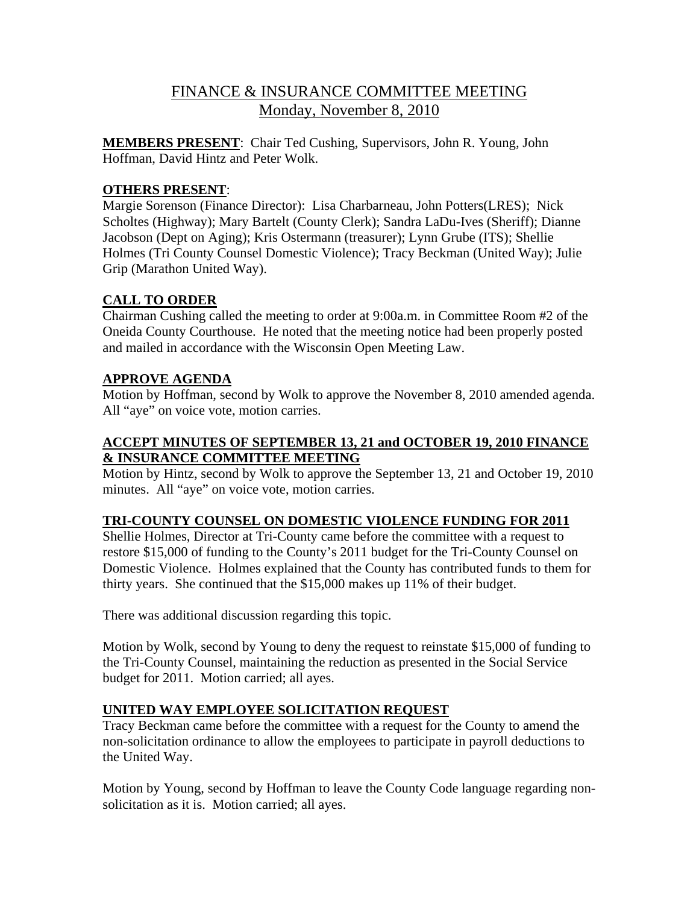# FINANCE & INSURANCE COMMITTEE MEETING Monday, November 8, 2010

**MEMBERS PRESENT**: Chair Ted Cushing, Supervisors, John R. Young, John Hoffman, David Hintz and Peter Wolk.

## **OTHERS PRESENT**:

Margie Sorenson (Finance Director): Lisa Charbarneau, John Potters(LRES); Nick Scholtes (Highway); Mary Bartelt (County Clerk); Sandra LaDu-Ives (Sheriff); Dianne Jacobson (Dept on Aging); Kris Ostermann (treasurer); Lynn Grube (ITS); Shellie Holmes (Tri County Counsel Domestic Violence); Tracy Beckman (United Way); Julie Grip (Marathon United Way).

# **CALL TO ORDER**

Chairman Cushing called the meeting to order at 9:00a.m. in Committee Room #2 of the Oneida County Courthouse. He noted that the meeting notice had been properly posted and mailed in accordance with the Wisconsin Open Meeting Law.

# **APPROVE AGENDA**

Motion by Hoffman, second by Wolk to approve the November 8, 2010 amended agenda. All "aye" on voice vote, motion carries.

# **ACCEPT MINUTES OF SEPTEMBER 13, 21 and OCTOBER 19, 2010 FINANCE & INSURANCE COMMITTEE MEETING**

Motion by Hintz, second by Wolk to approve the September 13, 21 and October 19, 2010 minutes. All "aye" on voice vote, motion carries.

### **TRI-COUNTY COUNSEL ON DOMESTIC VIOLENCE FUNDING FOR 2011**

Shellie Holmes, Director at Tri-County came before the committee with a request to restore \$15,000 of funding to the County's 2011 budget for the Tri-County Counsel on Domestic Violence. Holmes explained that the County has contributed funds to them for thirty years. She continued that the \$15,000 makes up 11% of their budget.

There was additional discussion regarding this topic.

Motion by Wolk, second by Young to deny the request to reinstate \$15,000 of funding to the Tri-County Counsel, maintaining the reduction as presented in the Social Service budget for 2011. Motion carried; all ayes.

### **UNITED WAY EMPLOYEE SOLICITATION REQUEST**

Tracy Beckman came before the committee with a request for the County to amend the non-solicitation ordinance to allow the employees to participate in payroll deductions to the United Way.

Motion by Young, second by Hoffman to leave the County Code language regarding nonsolicitation as it is. Motion carried; all ayes.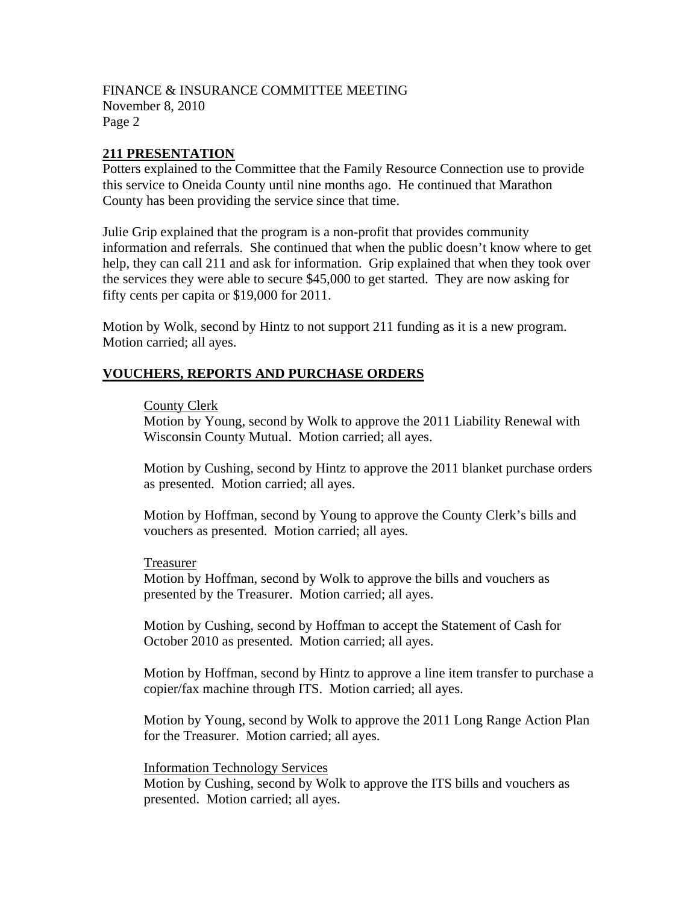### **211 PRESENTATION**

Potters explained to the Committee that the Family Resource Connection use to provide this service to Oneida County until nine months ago. He continued that Marathon County has been providing the service since that time.

Julie Grip explained that the program is a non-profit that provides community information and referrals. She continued that when the public doesn't know where to get help, they can call 211 and ask for information. Grip explained that when they took over the services they were able to secure \$45,000 to get started. They are now asking for fifty cents per capita or \$19,000 for 2011.

Motion by Wolk, second by Hintz to not support 211 funding as it is a new program. Motion carried; all ayes.

#### **VOUCHERS, REPORTS AND PURCHASE ORDERS**

#### County Clerk

Motion by Young, second by Wolk to approve the 2011 Liability Renewal with Wisconsin County Mutual. Motion carried; all ayes.

Motion by Cushing, second by Hintz to approve the 2011 blanket purchase orders as presented. Motion carried; all ayes.

Motion by Hoffman, second by Young to approve the County Clerk's bills and vouchers as presented. Motion carried; all ayes.

#### Treasurer

Motion by Hoffman, second by Wolk to approve the bills and vouchers as presented by the Treasurer. Motion carried; all ayes.

Motion by Cushing, second by Hoffman to accept the Statement of Cash for October 2010 as presented. Motion carried; all ayes.

Motion by Hoffman, second by Hintz to approve a line item transfer to purchase a copier/fax machine through ITS. Motion carried; all ayes.

Motion by Young, second by Wolk to approve the 2011 Long Range Action Plan for the Treasurer. Motion carried; all ayes.

Information Technology Services Motion by Cushing, second by Wolk to approve the ITS bills and vouchers as presented. Motion carried; all ayes.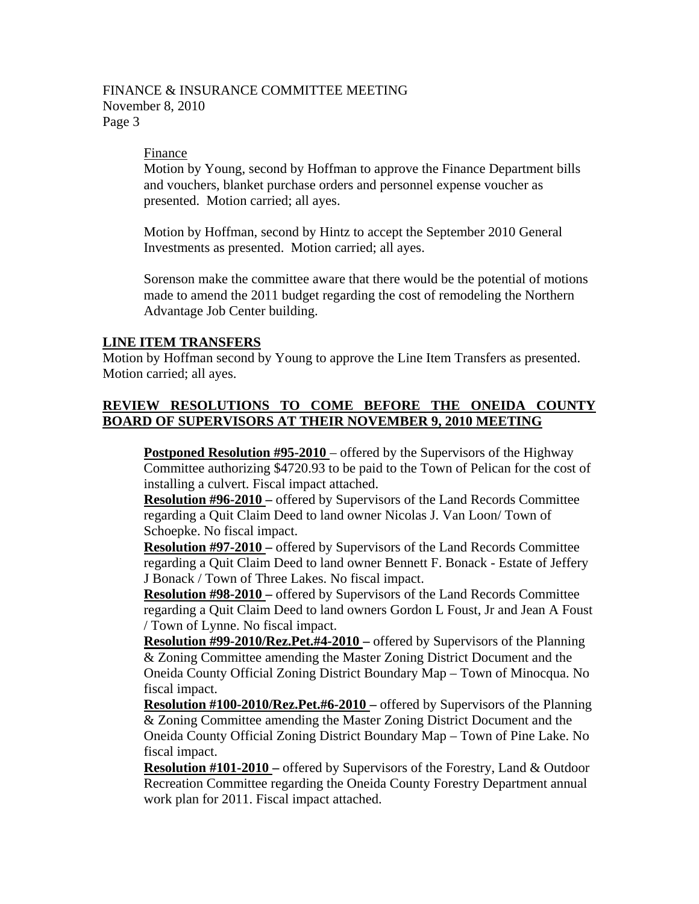#### FINANCE & INSURANCE COMMITTEE MEETING November 8, 2010 Page 3

#### Finance

Motion by Young, second by Hoffman to approve the Finance Department bills and vouchers, blanket purchase orders and personnel expense voucher as presented. Motion carried; all ayes.

Motion by Hoffman, second by Hintz to accept the September 2010 General Investments as presented. Motion carried; all ayes.

Sorenson make the committee aware that there would be the potential of motions made to amend the 2011 budget regarding the cost of remodeling the Northern Advantage Job Center building.

#### **LINE ITEM TRANSFERS**

Motion by Hoffman second by Young to approve the Line Item Transfers as presented. Motion carried; all ayes.

### **REVIEW RESOLUTIONS TO COME BEFORE THE ONEIDA COUNTY BOARD OF SUPERVISORS AT THEIR NOVEMBER 9, 2010 MEETING**

**Postponed Resolution #95-2010** – offered by the Supervisors of the Highway Committee authorizing \$4720.93 to be paid to the Town of Pelican for the cost of installing a culvert. Fiscal impact attached.

**Resolution #96-2010 –** offered by Supervisors of the Land Records Committee regarding a Quit Claim Deed to land owner Nicolas J. Van Loon/ Town of Schoepke. No fiscal impact.

**Resolution #97-2010 –** offered by Supervisors of the Land Records Committee regarding a Quit Claim Deed to land owner Bennett F. Bonack - Estate of Jeffery J Bonack / Town of Three Lakes. No fiscal impact.

**Resolution #98-2010 –** offered by Supervisors of the Land Records Committee regarding a Quit Claim Deed to land owners Gordon L Foust, Jr and Jean A Foust / Town of Lynne. No fiscal impact.

**Resolution #99-2010/Rez.Pet.#4-2010 –** offered by Supervisors of the Planning & Zoning Committee amending the Master Zoning District Document and the Oneida County Official Zoning District Boundary Map – Town of Minocqua. No fiscal impact.

**Resolution #100-2010/Rez.Pet.#6-2010 –** offered by Supervisors of the Planning & Zoning Committee amending the Master Zoning District Document and the Oneida County Official Zoning District Boundary Map – Town of Pine Lake. No fiscal impact.

**Resolution #101-2010 –** offered by Supervisors of the Forestry, Land & Outdoor Recreation Committee regarding the Oneida County Forestry Department annual work plan for 2011. Fiscal impact attached.